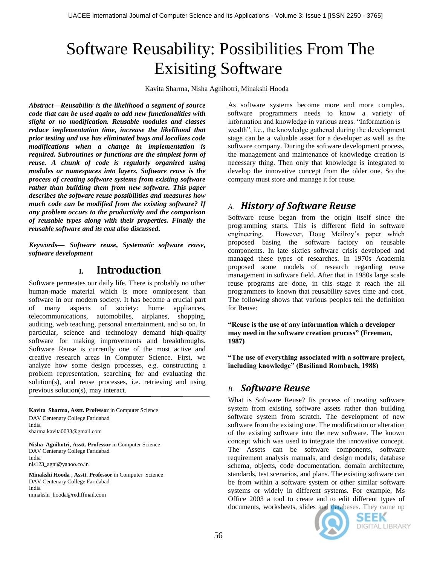# Software Reusability: Possibilities From The Exisiting Software

Kavita Sharma, Nisha Agnihotri, Minakshi Hooda

*Abstract—Reusability is the likelihood a segment of source code that can be used again to add new functionalities with slight or no modification. Reusable modules and classes reduce implementation time, increase the likelihood that prior testing and use has eliminated bugs and localizes code modifications when a change in implementation is required. Subroutines or functions are the simplest form of reuse. A chunk of code is regularly organized using modules or namespaces into layers. Software reuse is the process of creating software systems from existing software rather than building them from new software. This paper describes the software reuse possibilities and measures how much code can be modified from the existing software? If any problem occurs to the productivity and the comparison of reusable types along with their properties. Finally the reusable software and its cost also discussed.*

*Keywords— Software reuse, Systematic software reuse, software development*

# **I. Introduction**

Software permeates our daily life. There is probably no other human-made material which is more omnipresent than software in our modern society. It has become a crucial part of many aspects of society: home appliances, telecommunications, automobiles, airplanes, shopping, auditing, web teaching, personal entertainment, and so on. In particular, science and technology demand high-quality software for making improvements and breakthroughs. Software Reuse is currently one of the most active and creative research areas in Computer Science. First, we analyze how some design processes, e.g. constructing a problem representation, searching for and evaluating the solution(s), and reuse processes, i.e. retrieving and using previous solution(s), may interact.

**Kavita Sharma, Asstt. Professor** in Computer Science DAV Centenary College Faridabad India sharma.kavita0033@gmail.com

**Nisha Agnihotri, Asstt. Professor** in Computer Science DAV Centenary College Faridabad India nis123\_agni@yahoo.co.in

**Minakshi Hooda , Asstt. Professor** in Computer Science DAV Centenary College Faridabad India minakshi\_hooda@rediffmail.com

As software systems become more and more complex, software programmers needs to know a variety of information and knowledge in various areas. "Information is wealth", i.e., the knowledge gathered during the development stage can be a valuable asset for a developer as well as the software company. During the software development process, the management and maintenance of knowledge creation is necessary thing. Then only that knowledge is integrated to develop the innovative concept from the older one. So the company must store and manage it for reuse.

## *A. History of Software Reuse*

Software reuse began from the origin itself since the programming starts. This is different field in software engineering. However, Doug Mcilroy's paper which proposed basing the software factory on reusable components. In late sixties software crisis developed and managed these types of researches. In 1970s Academia proposed some models of research regarding reuse management in software field. After that in 1980s large scale reuse programs are done, in this stage it reach the all programmers to known that reusability saves time and cost. The following shows that various peoples tell the definition for Reuse:

**"Reuse is the use of any information which a developer may need in the software creation process" (Freeman, 1987)**

**"The use of everything associated with a software project, including knowledge" (Basiliand Rombach, 1988)**

# *B. Software Reuse*

What is Software Reuse? Its process of creating software system from existing software assets rather than building software system from scratch. The development of new software from the existing one. The modification or alteration of the existing software into the new software. The known concept which was used to integrate the innovative concept. The Assets can be software components, software requirement analysis manuals, and design models, database schema, objects, code documentation, domain architecture, standards, test scenarios, and plans. The existing software can be from within a software system or other similar software systems or widely in different systems. For example, Ms Office 2003 a tool to create and to edit different types of documents, worksheets, slides and databases. They came up



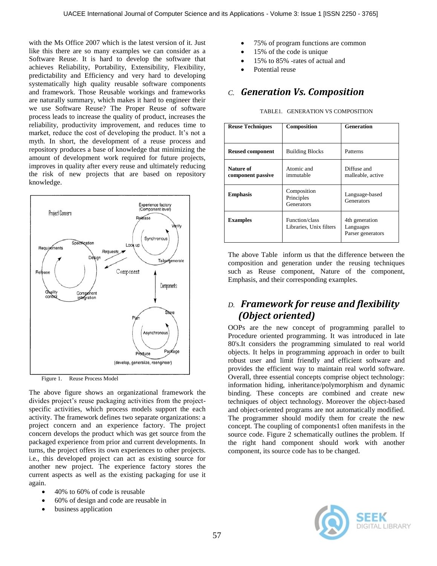with the Ms Office 2007 which is the latest version of it. Just like this there are so many examples we can consider as a Software Reuse. It is hard to develop the software that achieves Reliability, Portability, Extensibility, Flexibility, predictability and Efficiency and very hard to developing systematically high quality reusable software components and framework. Those Reusable workings and frameworks are naturally summary, which makes it hard to engineer their we use Software Reuse? The Proper Reuse of software process leads to increase the quality of product, increases the reliability, productivity improvement, and reduces time to market, reduce the cost of developing the product. It's not a myth. In short, the development of a reuse process and repository produces a base of knowledge that minimizing the amount of development work required for future projects, improves in quality after every reuse and ultimately reducing the risk of new projects that are based on repository knowledge.





The above figure shows an organizational framework the divides project's reuse packaging activities from the projectspecific activities, which process models support the each activity. The framework defines two separate organizations: a project concern and an experience factory. The project concern develops the product which was get source from the packaged experience from prior and current developments. In turns, the project offers its own experiences to other projects. i.e., this developed project can act as existing source for another new project. The experience factory stores the current aspects as well as the existing packaging for use it again.

- 40% to 60% of code is reusable
- 60% of design and code are reusable in
- business application
- 75% of program functions are common
- 15% of the code is unique
- 15% to 85% -rates of actual and
- Potential reuse

#### *C. Generation Vs. Composition*

| TABLE1. GENERATION VS COMPOSITION |  |
|-----------------------------------|--|
|                                   |  |

| <b>Reuse Techniques</b>        | Composition                               | <b>Generation</b>                                |  |
|--------------------------------|-------------------------------------------|--------------------------------------------------|--|
|                                |                                           |                                                  |  |
| <b>Reused component</b>        | <b>Building Blocks</b>                    | Patterns                                         |  |
| Nature of<br>component passive | Atomic and<br>immutable                   | Diffuse and<br>malleable, active                 |  |
| <b>Emphasis</b>                | Composition<br>Principles<br>Generators   | Language-based<br>Generators                     |  |
| <b>Examples</b>                | Function/class<br>Libraries, Unix filters | 4th generation<br>Languages<br>Parser generators |  |

The above Table inform us that the difference between the composition and generation under the reusing techniques such as Reuse component, Nature of the component, Emphasis, and their corresponding examples.

## *D. Framework for reuse and flexibility (Object oriented)*

OOPs are the new concept of programming parallel to Procedure oriented programming. It was introduced in late 80's.It considers the programming simulated to real world objects. It helps in programming approach in order to built robust user and limit friendly and efficient software and provides the efficient way to maintain real world software. Overall, three essential concepts comprise object technology: information hiding, inheritance/polymorphism and dynamic binding. These concepts are combined and create new techniques of object technology. Moreover the object-based and object-oriented programs are not automatically modified. The programmer should modify them for create the new concept. The coupling of components1 often manifests in the source code. Figure 2 schematically outlines the problem. If the right hand component should work with another component, its source code has to be changed.